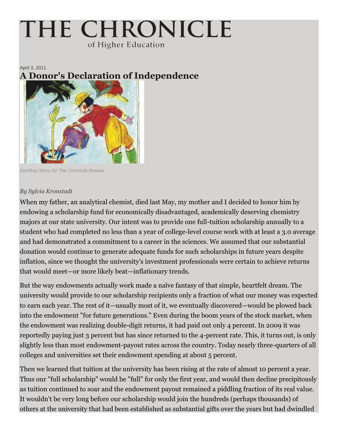## THE CHRONICLE of Higher Education

April 3, 2011 **A Donor's Declaration of Independence**



*Geoffrey Moss for The Chronicle Review*

## *By Sylvia Kronstadt*

When my father, an analytical chemist, died last May, my mother and I decided to honor him by endowing a scholarship fund for economically disadvantaged, academically deserving chemistry majors at our state university. Our intent was to provide one full-tuition scholarship annually to a student who had completed no less than a year of college-level course work with at least a 3.0 average and had demonstrated a commitment to a career in the sciences. We assumed that our substantial donation would continue to generate adequate funds for such scholarships in future years despite inflation, since we thought the university's investment professionals were certain to achieve returns that would meet—or more likely beat—inflationary trends.

But the way endowments actually work made a naïve fantasy of that simple, heartfelt dream. The university would provide to our scholarship recipients only a fraction of what our money was expected to earn each year. The rest of it—usually most of it, we eventually discovered—would be plowed back into the endowment "for future generations." Even during the boom years of the stock market, when the endowment was realizing double-digit returns, it had paid out only 4 percent. In 2009 it was reportedly paying just 3 percent but has since returned to the 4-percent rate. This, it turns out, is only slightly less than most endowment-payout rates across the country. Today nearly three-quarters of all colleges and universities set their endowment spending at about 5 percent.

Then we learned that tuition at the university has been rising at the rate of almost 10 percent a year. Thus our "full scholarship" would be "full" for only the first year, and would then decline precipitously as tuition continued to soar and the endowment payout remained a piddling fraction of its real value. It wouldn't be very long before our scholarship would join the hundreds (perhaps thousands) of others at the university that had been established as substantial gifts over the years but had dwindled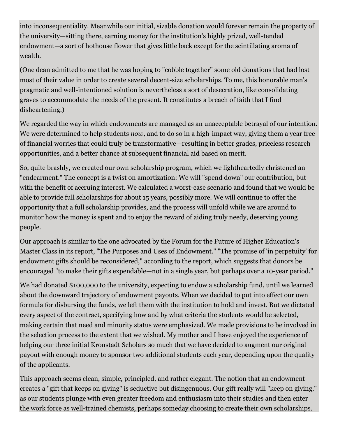into inconsequentiality. Meanwhile our initial, sizable donation would forever remain the property of the university—sitting there, earning money for the institution's highly prized, well-tended endowment—a sort of hothouse flower that gives little back except for the scintillating aroma of wealth.

(One dean admitted to me that he was hoping to "cobble together" some old donations that had lost most of their value in order to create several decent-size scholarships. To me, this honorable man's pragmatic and well-intentioned solution is nevertheless a sort of desecration, like consolidating graves to accommodate the needs of the present. It constitutes a breach of faith that I find disheartening.)

We regarded the way in which endowments are managed as an unacceptable betrayal of our intention. We were determined to help students *now,* and to do so in a high-impact way, giving them a year free of financial worries that could truly be transformative—resulting in better grades, priceless research opportunities, and a better chance at subsequent financial aid based on merit.

So, quite brashly, we created our own scholarship program, which we lightheartedly christened an "endearment." The concept is a twist on amortization: We will "spend down" our contribution, but with the benefit of accruing interest. We calculated a worst-case scenario and found that we would be able to provide full scholarships for about 15 years, possibly more. We will continue to offer the opportunity that a full scholarship provides, and the process will unfold while we are around to monitor how the money is spent and to enjoy the reward of aiding truly needy, deserving young people.

Our approach is similar to the one advocated by the Forum for the Future of Higher Education's Master Class in its report, "The Purposes and Uses of Endowment." "The promise of 'in perpetuity' for endowment gifts should be reconsidered," according to the report, which suggests that donors be encouraged "to make their gifts expendable—not in a single year, but perhaps over a 10-year period."

We had donated \$100,000 to the university, expecting to endow a scholarship fund, until we learned about the downward trajectory of endowment payouts. When we decided to put into effect our own formula for disbursing the funds, we left them with the institution to hold and invest. But we dictated every aspect of the contract, specifying how and by what criteria the students would be selected, making certain that need and minority status were emphasized. We made provisions to be involved in the selection process to the extent that we wished. My mother and I have enjoyed the experience of helping our three initial Kronstadt Scholars so much that we have decided to augment our original payout with enough money to sponsor two additional students each year, depending upon the quality of the applicants.

This approach seems clean, simple, principled, and rather elegant. The notion that an endowment creates a "gift that keeps on giving" is seductive but disingenuous. Our gift really will "keep on giving," as our students plunge with even greater freedom and enthusiasm into their studies and then enter the work force as well-trained chemists, perhaps someday choosing to create their own scholarships.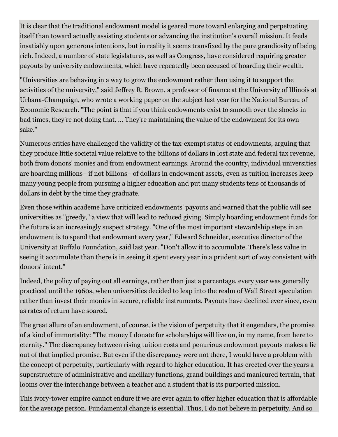It is clear that the traditional endowment model is geared more toward enlarging and perpetuating itself than toward actually assisting students or advancing the institution's overall mission. It feeds insatiably upon generous intentions, but in reality it seems transfixed by the pure grandiosity of being rich. Indeed, a number of state legislatures, as well as Congress, have considered requiring greater payouts by university endowments, which have repeatedly been accused of hoarding their wealth.

"Universities are behaving in a way to grow the endowment rather than using it to support the activities of the university," said Jeffrey R. Brown, a professor of finance at the University of Illinois at Urbana-Champaign, who wrote a working paper on the subject last year for the National Bureau of Economic Research. "The point is that if you think endowments exist to smooth over the shocks in bad times, they're not doing that. ... They're maintaining the value of the endowment for its own sake."

Numerous critics have challenged the validity of the tax-exempt status of endowments, arguing that they produce little societal value relative to the billions of dollars in lost state and federal tax revenue, both from donors' monies and from endowment earnings. Around the country, individual universities are hoarding millions—if not billions—of dollars in endowment assets, even as tuition increases keep many young people from pursuing a higher education and put many students tens of thousands of dollars in debt by the time they graduate.

Even those within academe have criticized endowments' payouts and warned that the public will see universities as "greedy," a view that will lead to reduced giving. Simply hoarding endowment funds for the future is an increasingly suspect strategy. "One of the most important stewardship steps in an endowment is to spend that endowment every year," Edward Schneider, executive director of the University at Buffalo Foundation, said last year. "Don't allow it to accumulate. There's less value in seeing it accumulate than there is in seeing it spent every year in a prudent sort of way consistent with donors' intent."

Indeed, the policy of paying out all earnings, rather than just a percentage, every year was generally practiced until the 1960s, when universities decided to leap into the realm of Wall Street speculation rather than invest their monies in secure, reliable instruments. Payouts have declined ever since, even as rates of return have soared.

The great allure of an endowment, of course, is the vision of perpetuity that it engenders, the promise of a kind of immortality: "The money I donate for scholarships will live on, in my name, from here to eternity." The discrepancy between rising tuition costs and penurious endowment payouts makes a lie out of that implied promise. But even if the discrepancy were not there, I would have a problem with the concept of perpetuity, particularly with regard to higher education. It has erected over the years a superstructure of administrative and ancillary functions, grand buildings and manicured terrain, that looms over the interchange between a teacher and a student that is its purported mission.

This ivory-tower empire cannot endure if we are ever again to offer higher education that is affordable for the average person. Fundamental change is essential. Thus, I do not believe in perpetuity. And so